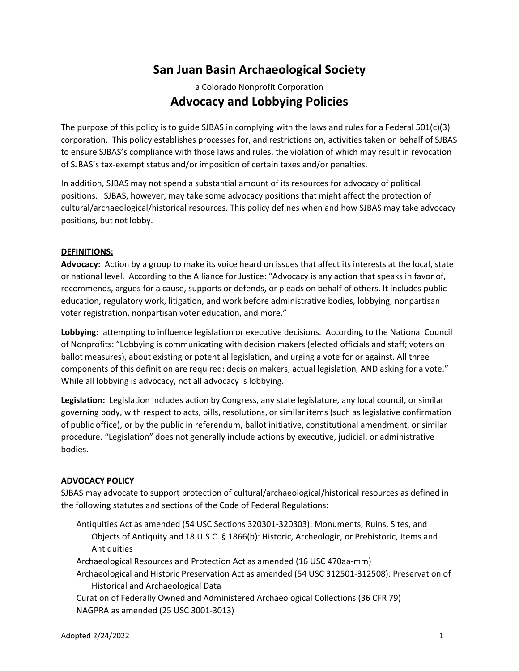# **San Juan Basin Archaeological Society**

# a Colorado Nonprofit Corporation **Advocacy and Lobbying Policies**

The purpose of this policy is to guide SJBAS in complying with the laws and rules for a Federal 501(c)(3) corporation. This policy establishes processes for, and restrictions on, activities taken on behalf of SJBAS to ensure SJBAS's compliance with those laws and rules, the violation of which may result in revocation of SJBAS's tax-exempt status and/or imposition of certain taxes and/or penalties.

In addition, SJBAS may not spend a substantial amount of its resources for advocacy of political positions. SJBAS, however, may take some advocacy positions that might affect the protection of cultural/archaeological/historical resources. This policy defines when and how SJBAS may take advocacy positions, but not lobby.

# **DEFINITIONS:**

**Advocacy:** Action by a group to make its voice heard on issues that affect its interests at the local, state or national level. According to the Alliance for Justice: "Advocacy is any action that speaks in favor of, recommends, argues for a cause, supports or defends, or pleads on behalf of others. It includes public education, regulatory work, litigation, and work before administrative bodies, lobbying, nonpartisan voter registration, nonpartisan voter education, and more."

**Lobbying:** attempting to influence legislation or executive decisions. According to the National Council of Nonprofits: "Lobbying is communicating with decision makers (elected officials and staff; voters on ballot measures), about existing or potential legislation, and urging a vote for or against. All three components of this definition are required: decision makers, actual legislation, AND asking for a vote." While all lobbying is advocacy, not all advocacy is lobbying.

**Legislation:** Legislation includes action by Congress, any state legislature, any local council, or similar governing body, with respect to acts, bills, resolutions, or similar items (such as legislative confirmation of public office), or by the public in referendum, ballot initiative, constitutional amendment, or similar procedure. "Legislation" does not generally include actions by executive, judicial, or administrative bodies.

### **ADVOCACY POLICY**

SJBAS may advocate to support protection of cultural/archaeological/historical resources as defined in the following statutes and sections of the Code of Federal Regulations:

Antiquities Act as amended (54 USC Sections 320301-320303): Monuments, Ruins, Sites, and Objects of Antiquity and 18 U.S.C. § 1866(b): Historic, Archeologic, or Prehistoric, Items and Antiquities

Archaeological Resources and Protection Act as amended (16 USC 470aa-mm)

Archaeological and Historic Preservation Act as amended (54 USC 312501-312508): Preservation of Historical and Archaeological Data

Curation of Federally Owned and Administered Archaeological Collections (36 CFR 79) NAGPRA as amended (25 USC 3001-3013)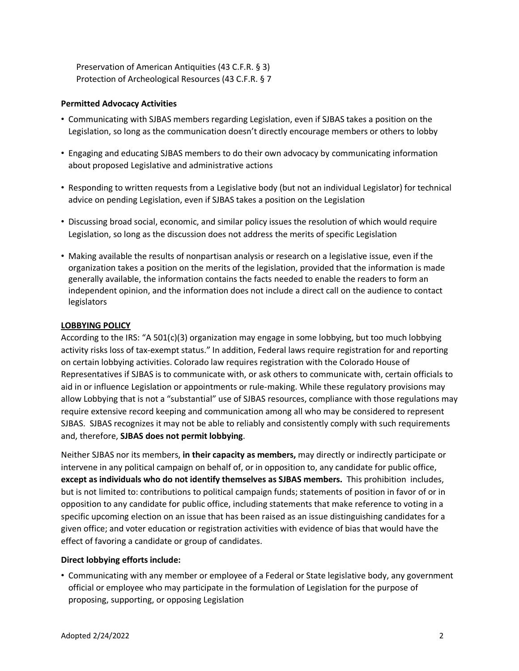Preservation of American Antiquities (43 C.F.R. § 3) Protection of Archeological Resources (43 C.F.R. § 7

# **Permitted Advocacy Activities**

- Communicating with SJBAS members regarding Legislation, even if SJBAS takes a position on the Legislation, so long as the communication doesn't directly encourage members or others to lobby
- Engaging and educating SJBAS members to do their own advocacy by communicating information about proposed Legislative and administrative actions
- Responding to written requests from a Legislative body (but not an individual Legislator) for technical advice on pending Legislation, even if SJBAS takes a position on the Legislation
- Discussing broad social, economic, and similar policy issues the resolution of which would require Legislation, so long as the discussion does not address the merits of specific Legislation
- Making available the results of nonpartisan analysis or research on a legislative issue, even if the organization takes a position on the merits of the legislation, provided that the information is made generally available, the information contains the facts needed to enable the readers to form an independent opinion, and the information does not include a direct call on the audience to contact legislators

# **LOBBYING POLICY**

According to the IRS: "A 501(c)(3) organization may engage in some lobbying, but too much lobbying activity risks loss of tax-exempt status." In addition, Federal laws require registration for and reporting on certain lobbying activities. Colorado law requires registration with the Colorado House of Representatives if SJBAS is to communicate with, or ask others to communicate with, certain officials to aid in or influence Legislation or appointments or rule-making. While these regulatory provisions may allow Lobbying that is not a "substantial" use of SJBAS resources, compliance with those regulations may require extensive record keeping and communication among all who may be considered to represent SJBAS. SJBAS recognizes it may not be able to reliably and consistently comply with such requirements and, therefore, **SJBAS does not permit lobbying**.

Neither SJBAS nor its members, **in their capacity as members,** may directly or indirectly participate or intervene in any political campaign on behalf of, or in opposition to, any candidate for public office, **except as individuals who do not identify themselves as SJBAS members.** This prohibition includes, but is not limited to: contributions to political campaign funds; statements of position in favor of or in opposition to any candidate for public office, including statements that make reference to voting in a specific upcoming election on an issue that has been raised as an issue distinguishing candidates for a given office; and voter education or registration activities with evidence of bias that would have the effect of favoring a candidate or group of candidates.

### **Direct lobbying efforts include:**

• Communicating with any member or employee of a Federal or State legislative body, any government official or employee who may participate in the formulation of Legislation for the purpose of proposing, supporting, or opposing Legislation